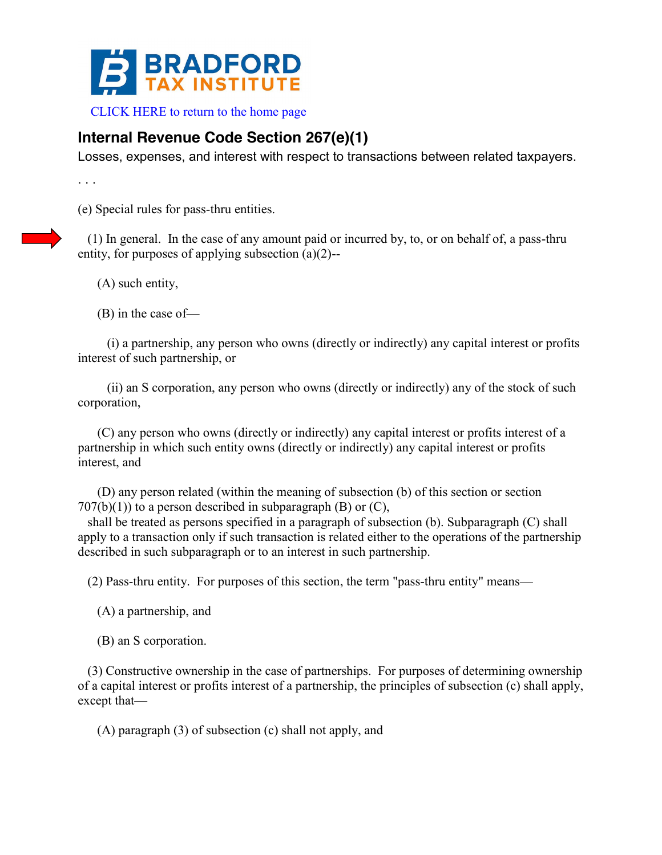

CLICK HERE to return to the home page

## **Internal Revenue Code Section 267(e)(1)**

Losses, expenses, and interest with respect to transactions between related taxpayers.

. . .

(e) Special rules for pass-thru entities.

 (1) In general. In the case of any amount paid or incurred by, to, or on behalf of, a pass-thru entity, for purposes of applying subsection (a)(2)--

(A) such entity,

(B) in the case of—

 (i) a partnership, any person who owns (directly or indirectly) any capital interest or profits interest of such partnership, or

 (ii) an S corporation, any person who owns (directly or indirectly) any of the stock of such corporation,

 (C) any person who owns (directly or indirectly) any capital interest or profits interest of a partnership in which such entity owns (directly or indirectly) any capital interest or profits interest, and

 (D) any person related (within the meaning of subsection (b) of this section or section  $707(b)(1)$  to a person described in subparagraph (B) or (C),

 shall be treated as persons specified in a paragraph of subsection (b). Subparagraph (C) shall apply to a transaction only if such transaction is related either to the operations of the partnership described in such subparagraph or to an interest in such partnership.

(2) Pass-thru entity. For purposes of this section, the term "pass-thru entity" means—

(A) a partnership, and

(B) an S corporation.

 (3) Constructive ownership in the case of partnerships. For purposes of determining ownership of a capital interest or profits interest of a partnership, the principles of subsection (c) shall apply, except that—

(A) paragraph (3) of subsection (c) shall not apply, and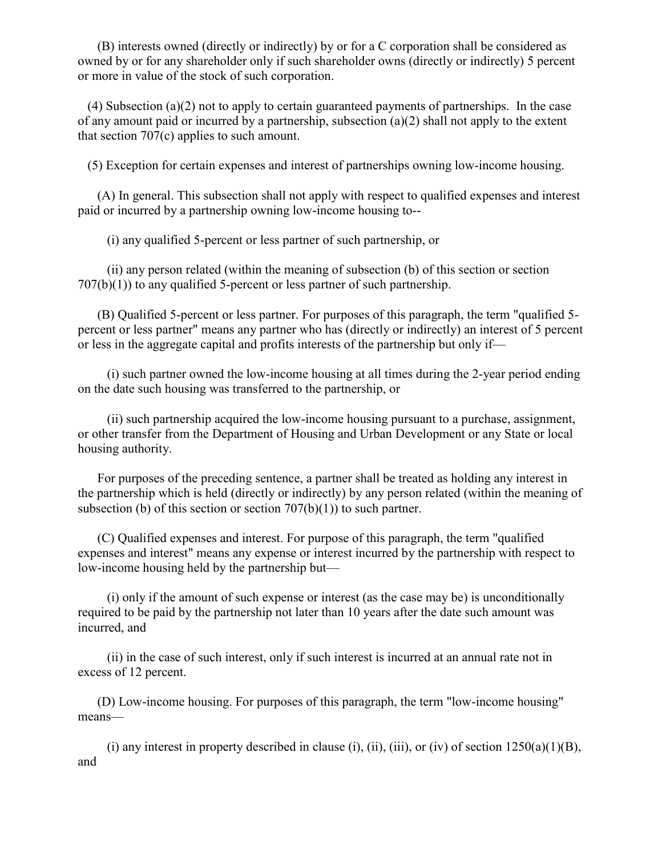(B) interests owned (directly or indirectly) by or for a C corporation shall be considered as owned by or for any shareholder only if such shareholder owns (directly or indirectly) 5 percent or more in value of the stock of such corporation.

 (4) Subsection (a)(2) not to apply to certain guaranteed payments of partnerships. In the case of any amount paid or incurred by a partnership, subsection (a)(2) shall not apply to the extent that section 707(c) applies to such amount.

(5) Exception for certain expenses and interest of partnerships owning low-income housing.

 (A) In general. This subsection shall not apply with respect to qualified expenses and interest paid or incurred by a partnership owning low-income housing to--

(i) any qualified 5-percent or less partner of such partnership, or

 (ii) any person related (within the meaning of subsection (b) of this section or section  $707(b)(1)$ ) to any qualified 5-percent or less partner of such partnership.

 (B) Qualified 5-percent or less partner. For purposes of this paragraph, the term "qualified 5 percent or less partner" means any partner who has (directly or indirectly) an interest of 5 percent or less in the aggregate capital and profits interests of the partnership but only if—

 (i) such partner owned the low-income housing at all times during the 2-year period ending on the date such housing was transferred to the partnership, or

 (ii) such partnership acquired the low-income housing pursuant to a purchase, assignment, or other transfer from the Department of Housing and Urban Development or any State or local housing authority.

 For purposes of the preceding sentence, a partner shall be treated as holding any interest in the partnership which is held (directly or indirectly) by any person related (within the meaning of subsection (b) of this section or section  $707(b)(1)$ ) to such partner.

 (C) Qualified expenses and interest. For purpose of this paragraph, the term "qualified expenses and interest" means any expense or interest incurred by the partnership with respect to low-income housing held by the partnership but—

 (i) only if the amount of such expense or interest (as the case may be) is unconditionally required to be paid by the partnership not later than 10 years after the date such amount was incurred, and

 (ii) in the case of such interest, only if such interest is incurred at an annual rate not in excess of 12 percent.

 (D) Low-income housing. For purposes of this paragraph, the term "low-income housing" means—

(i) any interest in property described in clause (i), (ii), (iii), or (iv) of section  $1250(a)(1)(B)$ , and